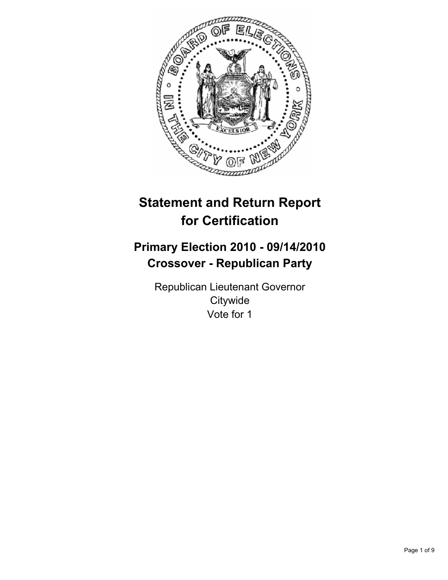

# **Statement and Return Report for Certification**

## **Primary Election 2010 - 09/14/2010 Crossover - Republican Party**

Republican Lieutenant Governor **Citywide** Vote for 1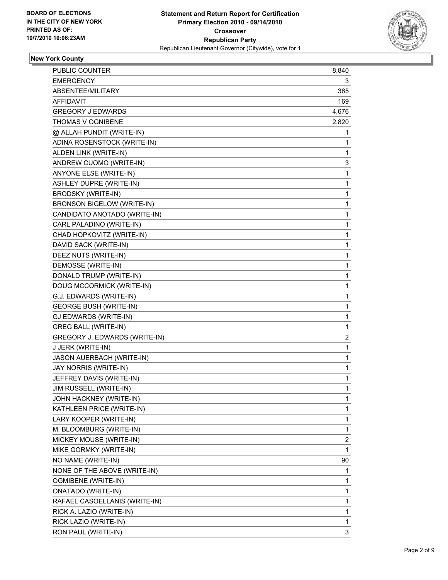

## **New York County**

| <b>PUBLIC COUNTER</b>                | 8,840 |
|--------------------------------------|-------|
| <b>EMERGENCY</b>                     | 3     |
| ABSENTEE/MILITARY                    | 365   |
| AFFIDAVIT                            | 169   |
| <b>GREGORY J EDWARDS</b>             | 4,676 |
| THOMAS V OGNIBENE                    | 2,820 |
| @ ALLAH PUNDIT (WRITE-IN)            | 1     |
| ADINA ROSENSTOCK (WRITE-IN)          | 1     |
| ALDEN LINK (WRITE-IN)                | 1     |
| ANDREW CUOMO (WRITE-IN)              | 3     |
| ANYONE ELSE (WRITE-IN)               | 1     |
| ASHLEY DUPRE (WRITE-IN)              | 1     |
| <b>BRODSKY (WRITE-IN)</b>            | 1     |
| BRONSON BIGELOW (WRITE-IN)           | 1     |
| CANDIDATO ANOTADO (WRITE-IN)         | 1     |
| CARL PALADINO (WRITE-IN)             | 1     |
| CHAD HOPKOVITZ (WRITE-IN)            | 1     |
| DAVID SACK (WRITE-IN)                | 1     |
| DEEZ NUTS (WRITE-IN)                 | 1     |
| DEMOSSE (WRITE-IN)                   | 1     |
| DONALD TRUMP (WRITE-IN)              | 1     |
| DOUG MCCORMICK (WRITE-IN)            | 1     |
| G.J. EDWARDS (WRITE-IN)              | 1     |
| <b>GEORGE BUSH (WRITE-IN)</b>        | 1     |
| GJ EDWARDS (WRITE-IN)                | 1     |
| <b>GREG BALL (WRITE-IN)</b>          | 1     |
| <b>GREGORY J. EDWARDS (WRITE-IN)</b> | 2     |
| J JERK (WRITE-IN)                    | 1     |
| JASON AUERBACH (WRITE-IN)            | 1     |
| JAY NORRIS (WRITE-IN)                | 1     |
| JEFFREY DAVIS (WRITE-IN)             | 1     |
| JIM RUSSELL (WRITE-IN)               | 1     |
| JOHN HACKNEY (WRITE-IN)              | 1     |
| KATHLEEN PRICE (WRITE-IN)            | 1     |
| LARY KOOPER (WRITE-IN)               | 1     |
| M. BLOOMBURG (WRITE-IN)              | 1     |
| MICKEY MOUSE (WRITE-IN)              | 2     |
| MIKE GORMKY (WRITE-IN)               | 1     |
| NO NAME (WRITE-IN)                   | 90    |
| NONE OF THE ABOVE (WRITE-IN)         | 1     |
| OGMIBENE (WRITE-IN)                  | 1     |
| <b>ONATADO (WRITE-IN)</b>            | 1     |
| RAFAEL CASOELLANIS (WRITE-IN)        | 1     |
| RICK A. LAZIO (WRITE-IN)             | 1     |
| RICK LAZIO (WRITE-IN)                | 1     |
| RON PAUL (WRITE-IN)                  | 3     |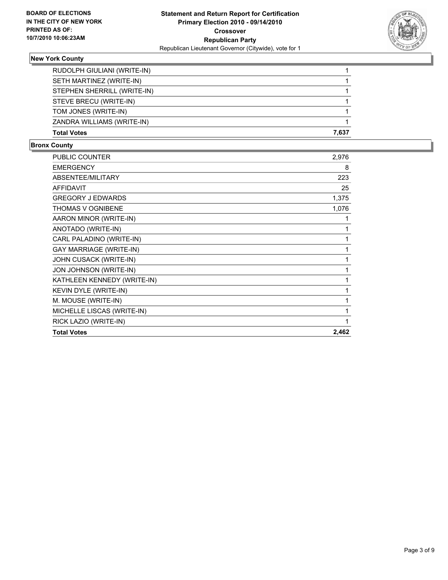

## **New York County**

| <b>Total Votes</b>          | 7.637 |
|-----------------------------|-------|
| ZANDRA WILLIAMS (WRITE-IN)  |       |
| TOM JONES (WRITE-IN)        |       |
| STEVE BRECU (WRITE-IN)      |       |
| STEPHEN SHERRILL (WRITE-IN) |       |
| SETH MARTINEZ (WRITE-IN)    |       |
| RUDOLPH GIULIANI (WRITE-IN) |       |

#### **Bronx County**

| <b>PUBLIC COUNTER</b>          | 2,976 |
|--------------------------------|-------|
| <b>EMERGENCY</b>               | 8     |
| ABSENTEE/MILITARY              | 223   |
| <b>AFFIDAVIT</b>               | 25    |
| <b>GREGORY J EDWARDS</b>       | 1,375 |
| <b>THOMAS V OGNIBENE</b>       | 1,076 |
| AARON MINOR (WRITE-IN)         | 1     |
| ANOTADO (WRITE-IN)             | 1     |
| CARL PALADINO (WRITE-IN)       | 1     |
| <b>GAY MARRIAGE (WRITE-IN)</b> | 1     |
| JOHN CUSACK (WRITE-IN)         | 1     |
| JON JOHNSON (WRITE-IN)         | 1     |
| KATHLEEN KENNEDY (WRITE-IN)    | 1     |
| <b>KEVIN DYLE (WRITE-IN)</b>   | 1     |
| M. MOUSE (WRITE-IN)            | 1     |
| MICHELLE LISCAS (WRITE-IN)     | 1     |
| RICK LAZIO (WRITE-IN)          | 1     |
| <b>Total Votes</b>             | 2,462 |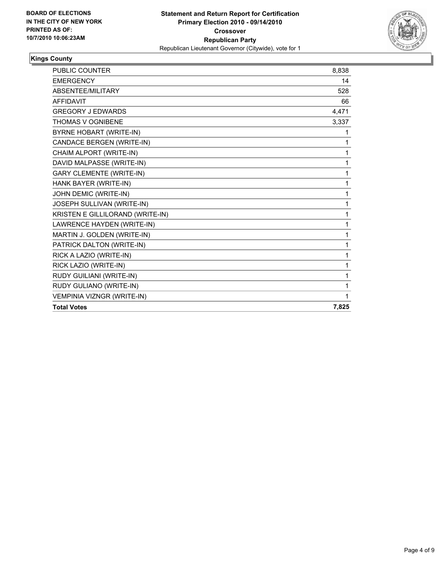

## **Kings County**

| <b>PUBLIC COUNTER</b>            | 8,838 |
|----------------------------------|-------|
| <b>EMERGENCY</b>                 | 14    |
| ABSENTEE/MILITARY                | 528   |
| <b>AFFIDAVIT</b>                 | 66    |
| <b>GREGORY J EDWARDS</b>         | 4,471 |
| <b>THOMAS V OGNIBENE</b>         | 3,337 |
| BYRNE HOBART (WRITE-IN)          | 1     |
| CANDACE BERGEN (WRITE-IN)        | 1     |
| CHAIM ALPORT (WRITE-IN)          | 1     |
| DAVID MALPASSE (WRITE-IN)        | 1     |
| <b>GARY CLEMENTE (WRITE-IN)</b>  | 1     |
| HANK BAYER (WRITE-IN)            | 1     |
| JOHN DEMIC (WRITE-IN)            | 1     |
| JOSEPH SULLIVAN (WRITE-IN)       | 1     |
| KRISTEN E GILLILORAND (WRITE-IN) | 1     |
| LAWRENCE HAYDEN (WRITE-IN)       | 1     |
| MARTIN J. GOLDEN (WRITE-IN)      | 1     |
| PATRICK DALTON (WRITE-IN)        | 1     |
| RICK A LAZIO (WRITE-IN)          | 1     |
| RICK LAZIO (WRITE-IN)            | 1     |
| RUDY GUILIANI (WRITE-IN)         | 1     |
| RUDY GULIANO (WRITE-IN)          | 1     |
| VEMPINIA VIZNGR (WRITE-IN)       | 1     |
| <b>Total Votes</b>               | 7,825 |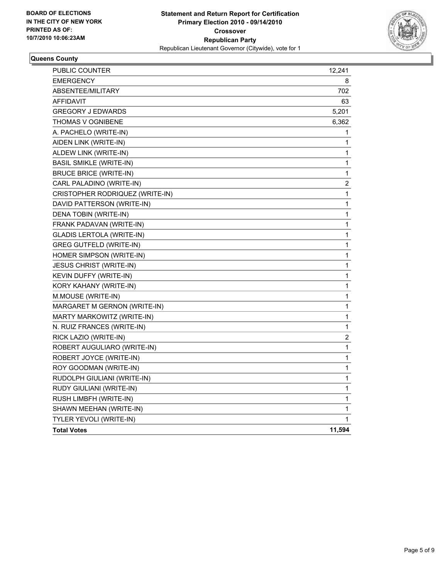

#### **Queens County**

| PUBLIC COUNTER                   | 12,241           |
|----------------------------------|------------------|
| <b>EMERGENCY</b>                 | 8                |
| ABSENTEE/MILITARY                | 702              |
| <b>AFFIDAVIT</b>                 | 63               |
| <b>GREGORY J EDWARDS</b>         | 5,201            |
| THOMAS V OGNIBENE                | 6,362            |
| A. PACHELO (WRITE-IN)            | 1                |
| AIDEN LINK (WRITE-IN)            | 1                |
| ALDEW LINK (WRITE-IN)            | 1                |
| <b>BASIL SMIKLE (WRITE-IN)</b>   | 1                |
| <b>BRUCE BRICE (WRITE-IN)</b>    | $\mathbf 1$      |
| CARL PALADINO (WRITE-IN)         | $\boldsymbol{2}$ |
| CRISTOPHER RODRIQUEZ (WRITE-IN)  | 1                |
| DAVID PATTERSON (WRITE-IN)       | $\mathbf 1$      |
| DENA TOBIN (WRITE-IN)            | $\mathbf 1$      |
| FRANK PADAVAN (WRITE-IN)         | 1                |
| <b>GLADIS LERTOLA (WRITE-IN)</b> | 1                |
| <b>GREG GUTFELD (WRITE-IN)</b>   | 1                |
| HOMER SIMPSON (WRITE-IN)         | 1                |
| <b>JESUS CHRIST (WRITE-IN)</b>   | 1                |
| KEVIN DUFFY (WRITE-IN)           | 1                |
| KORY KAHANY (WRITE-IN)           | 1                |
| M.MOUSE (WRITE-IN)               | 1                |
| MARGARET M GERNON (WRITE-IN)     | 1                |
| MARTY MARKOWITZ (WRITE-IN)       | 1                |
| N. RUIZ FRANCES (WRITE-IN)       | 1                |
| RICK LAZIO (WRITE-IN)            | $\boldsymbol{2}$ |
| ROBERT AUGULIARO (WRITE-IN)      | 1                |
| ROBERT JOYCE (WRITE-IN)          | 1                |
| ROY GOODMAN (WRITE-IN)           | 1                |
| RUDOLPH GIULIANI (WRITE-IN)      | 1                |
| RUDY GIULIANI (WRITE-IN)         | 1                |
| RUSH LIMBFH (WRITE-IN)           | 1                |
| SHAWN MEEHAN (WRITE-IN)          | 1                |
| TYLER YEVOLI (WRITE-IN)          | 1                |
| <b>Total Votes</b>               | 11,594           |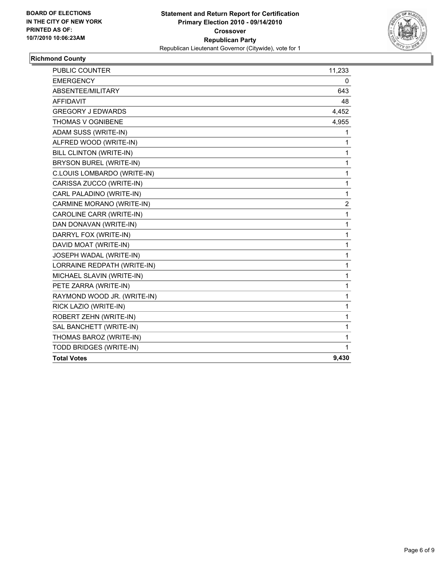

## **Richmond County**

| <b>PUBLIC COUNTER</b>          | 11,233         |
|--------------------------------|----------------|
| <b>EMERGENCY</b>               | 0              |
| ABSENTEE/MILITARY              | 643            |
| <b>AFFIDAVIT</b>               | 48             |
| <b>GREGORY J EDWARDS</b>       | 4,452          |
| <b>THOMAS V OGNIBENE</b>       | 4,955          |
| ADAM SUSS (WRITE-IN)           | 1              |
| ALFRED WOOD (WRITE-IN)         | 1              |
| <b>BILL CLINTON (WRITE-IN)</b> | 1              |
| BRYSON BUREL (WRITE-IN)        | 1              |
| C.LOUIS LOMBARDO (WRITE-IN)    | 1              |
| CARISSA ZUCCO (WRITE-IN)       | 1              |
| CARL PALADINO (WRITE-IN)       | 1              |
| CARMINE MORANO (WRITE-IN)      | $\overline{c}$ |
| CAROLINE CARR (WRITE-IN)       | 1              |
| DAN DONAVAN (WRITE-IN)         | 1              |
| DARRYL FOX (WRITE-IN)          | 1              |
| DAVID MOAT (WRITE-IN)          | 1              |
| JOSEPH WADAL (WRITE-IN)        | 1              |
| LORRAINE REDPATH (WRITE-IN)    | 1              |
| MICHAEL SLAVIN (WRITE-IN)      | 1              |
| PETE ZARRA (WRITE-IN)          | 1              |
| RAYMOND WOOD JR. (WRITE-IN)    | 1              |
| RICK LAZIO (WRITE-IN)          | 1              |
| ROBERT ZEHN (WRITE-IN)         | 1              |
| SAL BANCHETT (WRITE-IN)        | 1              |
| THOMAS BAROZ (WRITE-IN)        | 1              |
| TODD BRIDGES (WRITE-IN)        | 1              |
| <b>Total Votes</b>             | 9,430          |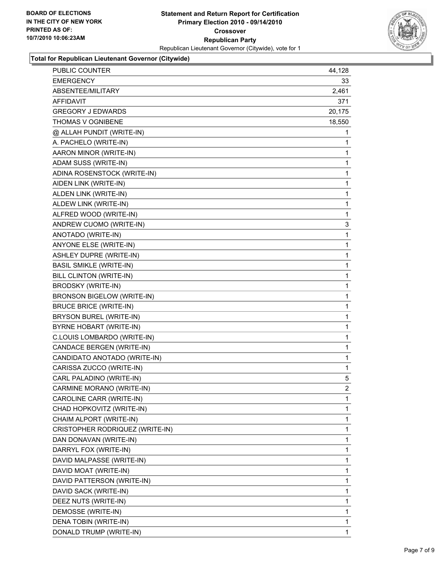

**Total for Republican Lieutenant Governor (Citywide)**

| <b>PUBLIC COUNTER</b>           | 44,128         |
|---------------------------------|----------------|
| EMERGENCY                       | 33             |
| ABSENTEE/MILITARY               | 2,461          |
| <b>AFFIDAVIT</b>                | 371            |
| <b>GREGORY J EDWARDS</b>        | 20,175         |
| THOMAS V OGNIBENE               | 18,550         |
| @ ALLAH PUNDIT (WRITE-IN)       | 1              |
| A. PACHELO (WRITE-IN)           | 1              |
| AARON MINOR (WRITE-IN)          | 1              |
| ADAM SUSS (WRITE-IN)            | 1              |
| ADINA ROSENSTOCK (WRITE-IN)     | 1              |
| AIDEN LINK (WRITE-IN)           | 1              |
| ALDEN LINK (WRITE-IN)           | 1              |
| ALDEW LINK (WRITE-IN)           | 1              |
| ALFRED WOOD (WRITE-IN)          | 1              |
| ANDREW CUOMO (WRITE-IN)         | 3              |
| ANOTADO (WRITE-IN)              | 1              |
| ANYONE ELSE (WRITE-IN)          | 1              |
| <b>ASHLEY DUPRE (WRITE-IN)</b>  | 1              |
| <b>BASIL SMIKLE (WRITE-IN)</b>  | 1              |
| <b>BILL CLINTON (WRITE-IN)</b>  | 1              |
| <b>BRODSKY (WRITE-IN)</b>       | $\mathbf{1}$   |
| BRONSON BIGELOW (WRITE-IN)      | 1              |
| <b>BRUCE BRICE (WRITE-IN)</b>   | 1              |
| BRYSON BUREL (WRITE-IN)         | 1              |
| BYRNE HOBART (WRITE-IN)         | 1              |
| C.LOUIS LOMBARDO (WRITE-IN)     | 1              |
| CANDACE BERGEN (WRITE-IN)       | $\mathbf{1}$   |
| CANDIDATO ANOTADO (WRITE-IN)    | 1              |
| CARISSA ZUCCO (WRITE-IN)        | 1              |
| CARL PALADINO (WRITE-IN)        | 5              |
| CARMINE MORANO (WRITE-IN)       | $\overline{2}$ |
| CAROLINE CARR (WRITE-IN)        | 1              |
| CHAD HOPKOVITZ (WRITE-IN)       | 1              |
| CHAIM ALPORT (WRITE-IN)         | 1              |
| CRISTOPHER RODRIQUEZ (WRITE-IN) | 1              |
| DAN DONAVAN (WRITE-IN)          | 1              |
| DARRYL FOX (WRITE-IN)           | 1              |
| DAVID MALPASSE (WRITE-IN)       | 1              |
| DAVID MOAT (WRITE-IN)           | 1              |
| DAVID PATTERSON (WRITE-IN)      | 1              |
| DAVID SACK (WRITE-IN)           | 1              |
| DEEZ NUTS (WRITE-IN)            | 1              |
| DEMOSSE (WRITE-IN)              | 1              |
| DENA TOBIN (WRITE-IN)           | 1              |
| DONALD TRUMP (WRITE-IN)         | 1              |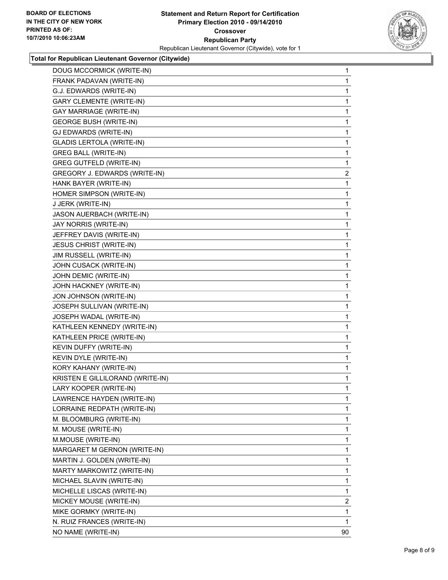

#### **Total for Republican Lieutenant Governor (Citywide)**

| DOUG MCCORMICK (WRITE-IN)        | 1              |
|----------------------------------|----------------|
| FRANK PADAVAN (WRITE-IN)         | 1              |
| G.J. EDWARDS (WRITE-IN)          | 1              |
| <b>GARY CLEMENTE (WRITE-IN)</b>  | 1              |
| <b>GAY MARRIAGE (WRITE-IN)</b>   | 1              |
| <b>GEORGE BUSH (WRITE-IN)</b>    | 1              |
| GJ EDWARDS (WRITE-IN)            | 1              |
| <b>GLADIS LERTOLA (WRITE-IN)</b> | 1              |
| <b>GREG BALL (WRITE-IN)</b>      | 1              |
| <b>GREG GUTFELD (WRITE-IN)</b>   | 1              |
| GREGORY J. EDWARDS (WRITE-IN)    | 2              |
| HANK BAYER (WRITE-IN)            | 1              |
| HOMER SIMPSON (WRITE-IN)         | 1              |
| J JERK (WRITE-IN)                | 1              |
| JASON AUERBACH (WRITE-IN)        | 1              |
| JAY NORRIS (WRITE-IN)            | 1              |
| JEFFREY DAVIS (WRITE-IN)         | 1              |
| <b>JESUS CHRIST (WRITE-IN)</b>   | 1              |
| JIM RUSSELL (WRITE-IN)           | 1              |
| JOHN CUSACK (WRITE-IN)           | 1              |
| JOHN DEMIC (WRITE-IN)            | 1              |
| JOHN HACKNEY (WRITE-IN)          | 1              |
| JON JOHNSON (WRITE-IN)           | 1              |
| JOSEPH SULLIVAN (WRITE-IN)       | 1              |
| JOSEPH WADAL (WRITE-IN)          | 1              |
| KATHLEEN KENNEDY (WRITE-IN)      | 1              |
| KATHLEEN PRICE (WRITE-IN)        | 1              |
| KEVIN DUFFY (WRITE-IN)           | 1              |
| KEVIN DYLE (WRITE-IN)            | 1              |
| KORY KAHANY (WRITE-IN)           | 1              |
| KRISTEN E GILLILORAND (WRITE-IN) | 1              |
| LARY KOOPER (WRITE-IN)           | 1              |
| LAWRENCE HAYDEN (WRITE-IN)       | 1              |
| LORRAINE REDPATH (WRITE-IN)      | $\mathbf{1}$   |
| M. BLOOMBURG (WRITE-IN)          | 1              |
| M. MOUSE (WRITE-IN)              | 1              |
| M.MOUSE (WRITE-IN)               | 1              |
| MARGARET M GERNON (WRITE-IN)     | 1              |
| MARTIN J. GOLDEN (WRITE-IN)      | 1              |
| MARTY MARKOWITZ (WRITE-IN)       | 1              |
| MICHAEL SLAVIN (WRITE-IN)        | 1              |
| MICHELLE LISCAS (WRITE-IN)       | 1              |
| MICKEY MOUSE (WRITE-IN)          | $\overline{2}$ |
| MIKE GORMKY (WRITE-IN)           | 1              |
| N. RUIZ FRANCES (WRITE-IN)       | 1              |
| NO NAME (WRITE-IN)               | 90             |